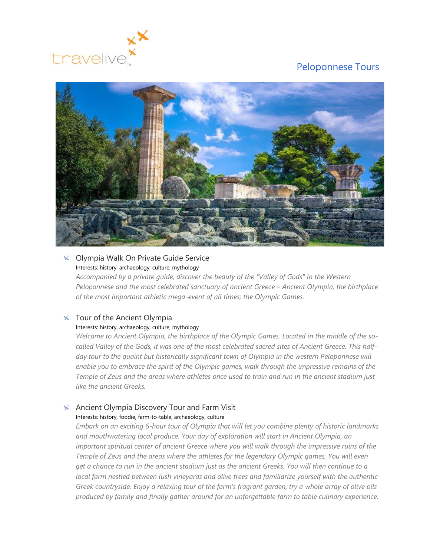



#### **X** Olympia Walk On Private Guide Service Interests: history, archaeology, culture, mythology

*Accompanied by a private guide, discover the beauty of the "Valley of Gods" in the Western Peloponnese and the most celebrated sanctuary of ancient Greece – Ancient Olympia, the birthplace of the most important athletic mega-event of all times; the Olympic Games.*

## $\times$  Tour of the Ancient Olympia

#### Interests: history, archaeology, culture, mythology

*Welcome to Ancient Olympia, the birthplace of the Olympic Games. Located in the middle of the socalled Valley of the Gods, it was one of the most celebrated sacred sites of Ancient Greece. This half*day tour to the quaint but historically significant town of Olympia in the western Peloponnese will *enable you to embrace the spirit of the Olympic games, walk through the impressive remains of the Temple of Zeus and the areas where athletes once used to train and run in the ancient stadium just like the ancient Greeks.*

### $\overline{\mathsf{A}}$  Ancient Olympia Discovery Tour and Farm Visit Interests: history, foodie, farm-to-table, archaeology, culture

*Embark on an exciting 6-hour tour of Olympia that will let you combine plenty of historic landmarks and mouthwatering local produce. Your day of exploration will start in Ancient Olympia, an important spiritual center of ancient Greece where you will walk through the impressive ruins of the Temple of Zeus and the areas where the athletes for the legendary Olympic games, You will even get a chance to run in the ancient stadium just as the ancient Greeks. You will then continue to a local farm nestled between lush vineyards and olive trees and familiarize yourself with the authentic Greek countryside. Enjoy a relaxing tour of the farm's fragrant garden, try a whole array of olive oils produced by family and finally gather around for an unforgettable farm to table culinary experience.*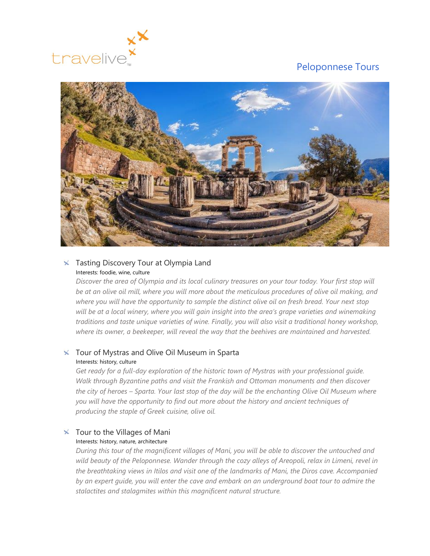



## **X** Tasting Discovery Tour at Olympia Land Interests: foodie, wine, culture

*Discover the area of Olympia and its local culinary treasures on your tour today. Your first stop will be at an olive oil mill, where you will more about the meticulous procedures of olive oil making, and where you will have the opportunity to sample the distinct olive oil on fresh bread. Your next stop*  will be at a local winery, where you will gain insight into the area's grape varieties and winemaking *traditions and taste unique varieties of wine. Finally, you will also visit a traditional honey workshop, where its owner, a beekeeper, will reveal the way that the beehives are maintained and harvested.*

## $\times$  Tour of Mystras and Olive Oil Museum in Sparta Interests: history, culture

*Get ready for a full-day exploration of the historic town of Mystras with your professional guide. Walk through Byzantine paths and visit the Frankish and Ottoman monuments and then discover the city of heroes – Sparta. Your last stop of the day will be the enchanting Olive Oil Museum where you will have the opportunity to find out more about the history and ancient techniques of producing the staple of Greek cuisine, olive oil.*

## $\times$  Tour to the Villages of Mani

#### Interests: history, nature, architecture

*During this tour of the magnificent villages of Mani, you will be able to discover the untouched and wild beauty of the Peloponnese. Wander through the cozy alleys of Areopoli, relax in Limeni, revel in the breathtaking views in Ιtilos and visit one of the landmarks of Mani, the Diros cave. Accompanied by an expert guide, you will enter the cave and embark on an underground boat tour to admire the stalactites and stalagmites within this magnificent natural structure.*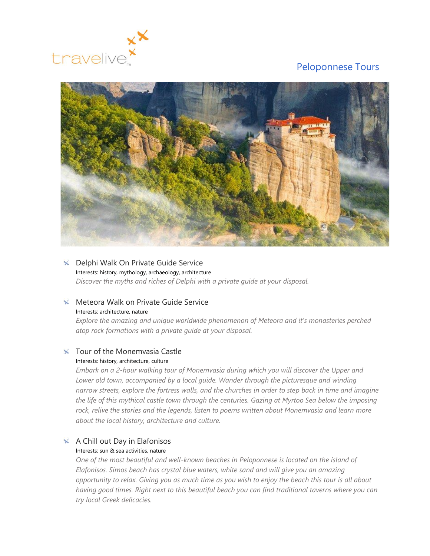



#### **X** Delphi Walk On Private Guide Service Interests: history, mythology, archaeology, architecture

*Discover the myths and riches of Delphi with a private guide at your disposal.*

## $\times$  Meteora Walk on Private Guide Service

#### Interests: architecture, nature

*Explore the amazing and unique worldwide phenomenon of Meteora and it's monasteries perched atop rock formations with a private guide at your disposal.*

# $\times$  Tour of the Monemvasia Castle

### Interests: history, architecture, culture

*Embark on a 2-hour walking tour of Monemvasia during which you will discover the Upper and Lower old town, accompanied by a local guide. Wander through the picturesque and winding narrow streets, explore the fortress walls, and the churches in order to step back in time and imagine the life of this mythical castle town through the centuries. Gazing at Myrtoo Sea below the imposing rock, relive the stories and the legends, listen to poems written about Monemvasia and learn more about the local history, architecture and culture.*

# $\times$  A Chill out Day in Elafonisos

### Interests: sun & sea activities, nature

*One of the most beautiful and well-known beaches in Peloponnese is located on the island of Elafonisos. Simos beach has crystal blue waters, white sand and will give you an amazing opportunity to relax. Giving you as much time as you wish to enjoy the beach this tour is all about having good times. Right next to this beautiful beach you can find traditional taverns where you can try local Greek delicacies.*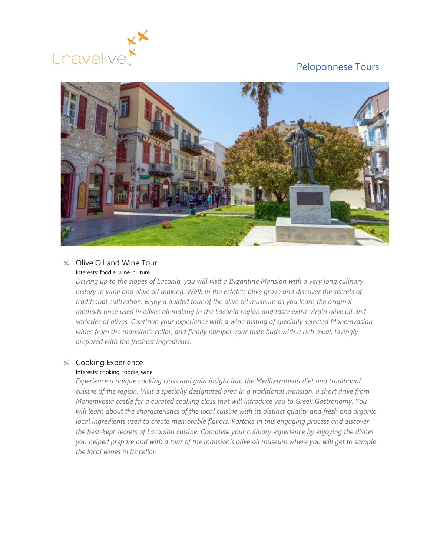



### $\times$  Olive Oil and Wine Tour Interests: foodie, wine, culture

*Driving up to the slopes of Laconia, you will visit a Byzantine Mansion with a very long culinary history in wine and olive oil making. Walk in the estate's olive grove and discover the secrets of traditional cultivation. Enjoy a guided tour of the olive oil museum as you learn the original methods once used in olives oil making in the Laconia region and taste extra-virgin olive oil and varieties of olives. Continue your experience with a wine tasting of specially selected Monemvasian wines from the mansion's cellar, and finally pamper your taste buds with a rich meal, lovingly prepared with the freshest ingredients.*

## $\times$  Cooking Experience

#### Interests: cooking, foodie, wine

*Experience a unique cooking class and gain insight into the Mediterranean diet and traditional cuisine of the region. Visit a specially designated area in a traditional mansion, a short drive from Monemvasia castle for a curated cooking class that will introduce you to Greek Gastronomy. You will learn about the characteristics of the local cuisine with its distinct quality and fresh and organic local ingredients used to create memorable flavors. Partake in this engaging process and discover the best-kept secrets of Laconian cuisine. Complete your culinary experience by enjoying the dishes you helped prepare and with a tour of the mansion's olive oil museum where you will get to sample the local wines in its cellar.*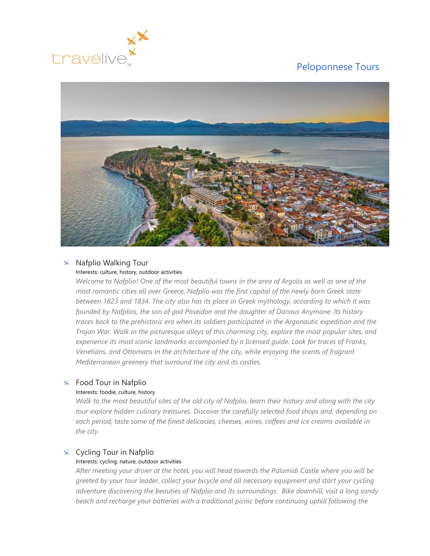



#### $\times$  Nafplio Walking Tour Interests: culture, history, outdoor activities

## *Welcome to Nafplio! One of the most beautiful towns in the area of Argolis as well as one of the most romantic cities all over Greece, Nafplio was the first capital of the newly born Greek state between 1823 and 1834. The city also has its place in Greek mythology, according to which it was founded by Nafplios, the son of god Poseidon and the daughter of Danaus Anymone. Its history traces back to the prehistoric era when its soldiers participated in the Argonautic expedition and the Trojan War. Walk in the picturesque alleys of this charming city, explore the most popular sites, and experience its most iconic landmarks accompanied by a licensed guide. Look for traces of Franks, Venetians, and Ottomans in the architecture of the city, while enjoying the scents of fragrant Mediterranean greenery that surround the city and its castles.*

## $\times$  Food Tour in Nafplio

#### Interests: foodie, culture, history

*Walk to the most beautiful sites of the old city of Nafplio, learn their history and along with the city tour explore hidden culinary treasures. Discover the carefully selected food shops and, depending on each period, taste some of the finest delicacies, cheeses, wines, coffees and ice creams available in the city.*

## $\times$  Cycling Tour in Nafplio

### Interests: cycling, nature, outdoor activities

*After meeting your driver at the hotel, you will head towards the Palamidi Castle where you will be greeted by your tour leader, collect your bicycle and all necessary equipment and start your cycling adventure discovering the beauties of Nafplio and its surroundings. Bike downhill, visit a long sandy*  beach and recharge your batteries with a traditional picnic before continuing uphill following the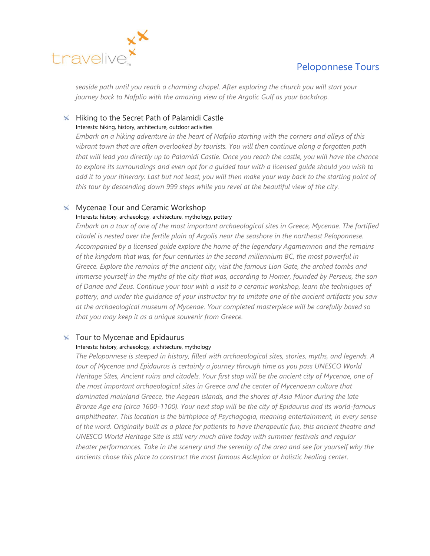

*seaside path until you reach a charming chapel. After exploring the church you will start your journey back to Nafplio with the amazing view of the Argolic Gulf as your backdrop.*

# $\overline{\mathsf{K}}$  Hiking to the Secret Path of Palamidi Castle

### Interests: hiking, history, architecture, outdoor activities

*Embark on a hiking adventure in the heart of Nafplio starting with the corners and alleys of this vibrant town that are often overlooked by tourists. You will then continue along a forgotten path that will lead you directly up to Palamidi Castle. Once you reach the castle, you will have the chance to explore its surroundings and even opt for a guided tour with a licensed guide should you wish to add it to your itinerary. Last but not least, you will then make your way back to the starting point of this tour by descending down 999 steps while you revel at the beautiful view of the city.*

## $\times$  Mycenae Tour and Ceramic Workshop

### Interests: history, archaeology, architecture, mythology, pottery

*Embark on a tour of one of the most important archaeological sites in Greece, Mycenae. The fortified citadel is nested over the fertile plain of Argolis near the seashore in the northeast Peloponnese. Accompanied by a licensed guide explore the home of the legendary Agamemnon and the remains of the kingdom that was, for four centuries in the second millennium BC, the most powerful in Greece. Explore the remains of the ancient city, visit the famous Lion Gate, the arched tombs and immerse yourself in the myths of the city that was, according to Homer, founded by Perseus, the son of Danae and Zeus. Continue your tour with a visit to a ceramic workshop, learn the techniques of pottery, and under the guidance of your instructor try to imitate one of the ancient artifacts you saw at the archaeological museum of Mycenae. Your completed masterpiece will be carefully boxed so that you may keep it as a unique souvenir from Greece.*

### $\times$  Tour to Mycenae and Epidaurus

#### Interests: history, archaeology, architecture, mythology

*The Peloponnese is steeped in history, filled with archaeological sites, stories, myths, and legends. A tour of Mycenae and Epidaurus is certainly a journey through time as you pass UNESCO World Heritage Sites, Ancient ruins and citadels. Your first stop will be the ancient city of Mycenae, one of the most important archaeological sites in Greece and the center of Mycenaean culture that dominated mainland Greece, the Aegean islands, and the shores of Asia Minor during the late Bronze Age era (circa 1600-1100). Your next stop will be the city of Epidaurus and its world-famous amphitheater. This location is the birthplace of Psychagogia, meaning entertainment, in every sense of the word. Originally built as a place for patients to have therapeutic fun, this ancient theatre and UNESCO World Heritage Site is still very much alive today with summer festivals and regular theater performances. Take in the scenery and the serenity of the area and see for yourself why the ancients chose this place to construct the most famous Asclepion or holistic healing center.*